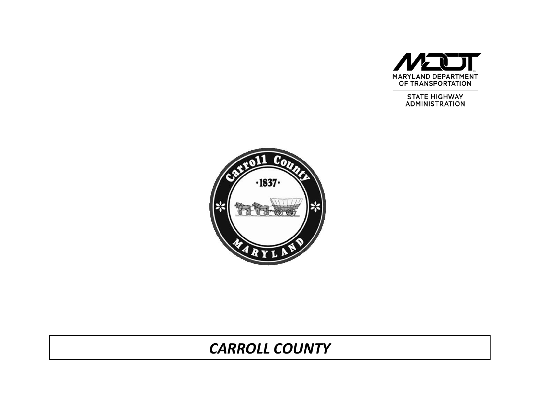

**STATE HIGHWAY ADMINISTRATION** 



# *CARROLL COUNTY*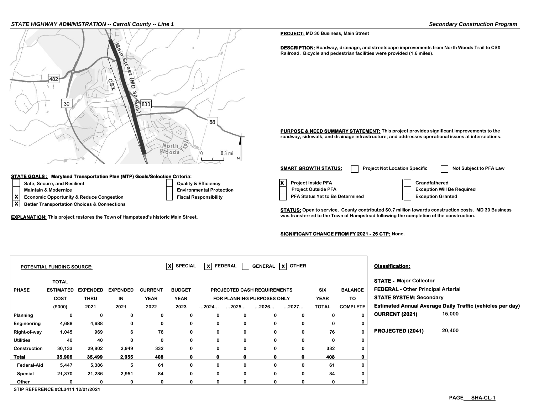#### *STATE HIGHWAY ADMINISTRATION -- Carroll County -- Line 1 Secondary Construction Program*



#### **STATE GOALS : Maryland Transportation Plan (MTP) Goals/Selection Criteria:**

- 
- 
- 
- **X Better Transportation Choices & Connections**

#### **PROJECT: MD 30 Business, Main Street**

**DESCRIPTION: Roadway, drainage, and streetscape improvements from North Woods Trail to CSX Railroad. Bicycle and pedestrian facilities were provided (1.6 miles).**

**PURPOSE & NEED SUMMARY STATEMENT:** This project provides significant improvements to the **roadway, sidewalk, and drainage infrastructure; and addresses operational issues at intersections.**

Safe, Secure, and Resilient **Constant Construction Constant Construction** Cuality & Efficiency **X** Project Inside PFA **Grandfathered X Economic Opportunity & Reduce Congestion Fiscal Responsibility PFA Status Yet to Be Determined** Exception Granted **A** Better Transportation Choices & Connections Maintain & Modernize **Environmental Protection** Protection **Project Outside PFA <u>Project Outside PFA Protection</u> Project Outside PFA <b>Project Outside PFA** Project Outside PFA **Project Outside PFA SMART GROWTH STATUS:** Project Not Location Specific Not Subject to PFA Law

**STATUS: Open to service. County contributed \$0.7 million towards construction costs. MD 30 Business EXPLANATION:** This project restores the Town of Hampstead's historic Main Street. **Was the Completion of Hampstead following the completion of the construction.** 

#### **SIGNIFICANT CHANGE FROM FY 2021 - 26 CTP: None.**

|                    | <b>POTENTIAL FUNDING SOURCE:</b>   |                 |                 |                | x <br><b>SPECIAL</b> | l x l                | FEDERAL     |                                    | GENERAL X OTHER |              |                 | <b>Classification:</b>                    |                                                                  |
|--------------------|------------------------------------|-----------------|-----------------|----------------|----------------------|----------------------|-------------|------------------------------------|-----------------|--------------|-----------------|-------------------------------------------|------------------------------------------------------------------|
|                    | <b>TOTAL</b>                       |                 |                 |                |                      |                      |             |                                    |                 |              |                 | <b>STATE - Major Collector</b>            |                                                                  |
| <b>PHASE</b>       | <b>ESTIMATED</b>                   | <b>EXPENDED</b> | <b>EXPENDED</b> | <b>CURRENT</b> | <b>BUDGET</b>        |                      |             | <b>PROJECTED CASH REQUIREMENTS</b> |                 | SIX          | <b>BALANCE</b>  | <b>FEDERAL - Other Principal Arterial</b> |                                                                  |
|                    | <b>COST</b>                        | <b>THRU</b>     | IN              | <b>YEAR</b>    | <b>YEAR</b>          |                      |             | FOR PLANNING PURPOSES ONLY         |                 | <b>YEAR</b>  | TO              | <b>STATE SYSTEM: Secondary</b>            |                                                                  |
|                    | (\$000)                            | 2021            | 2021            | 2022           | 2023                 | $\dots$ 2024 $\dots$ | 2025        | 2026                               | 2027            | <b>TOTAL</b> | <b>COMPLETE</b> |                                           | <b>Estimated Annual Average Daily Traffic (vehicles per day)</b> |
| <b>Planning</b>    | 0                                  | 0               | 0               | 0              | 0                    | 0                    | 0           | 0                                  | $\Omega$        | 0            |                 | <b>CURRENT (2021)</b>                     | 15,000                                                           |
| Engineering        | 4,688                              | 4,688           | 0               | 0              | $\mathbf 0$          | $\mathbf 0$          | 0           | 0                                  | $\Omega$        | 0            |                 |                                           |                                                                  |
| Right-of-way       | 1,045                              | 969             | 6               | 76             | 0                    | 0                    | 0           | 0                                  | 0               | 76           |                 | PROJECTED (2041)                          | 20,400                                                           |
| <b>Utilities</b>   | 40                                 | 40              | 0               | 0              | 0                    | $\mathbf 0$          | $\bf{0}$    | 0                                  | $\Omega$        | 0            |                 |                                           |                                                                  |
| Construction       | 30,133                             | 29,802          | 2,949           | 332            | $\mathbf 0$          | $\mathbf 0$          | 0           | 0                                  | 0               | 332          |                 |                                           |                                                                  |
| Total              | 35,906                             | 35,499          | 2,955           | 408            | $\mathbf{0}$         | 0                    | $\mathbf 0$ | $\mathbf 0$                        | $\mathbf o$     | 408          |                 |                                           |                                                                  |
| <b>Federal-Aid</b> | 5,447                              | 5,386           | 5               | 61             | $\mathbf 0$          | 0                    | $\bf{0}$    | $\Omega$                           | $\Omega$        | 61           |                 |                                           |                                                                  |
| Special            | 21,370                             | 21,286          | 2,951           | 84             | $\mathbf 0$          | $\mathbf 0$          | 0           | 0                                  | $\Omega$        | 84           |                 |                                           |                                                                  |
| Other              | $\Omega$                           | 0               | 0               | 0              | 0                    | 0                    | $\mathbf 0$ | 0                                  | $\Omega$        | 0            |                 |                                           |                                                                  |
|                    | STIP REFERENCE #CI 3411 12/01/2021 |                 |                 |                |                      |                      |             |                                    |                 |              |                 |                                           |                                                                  |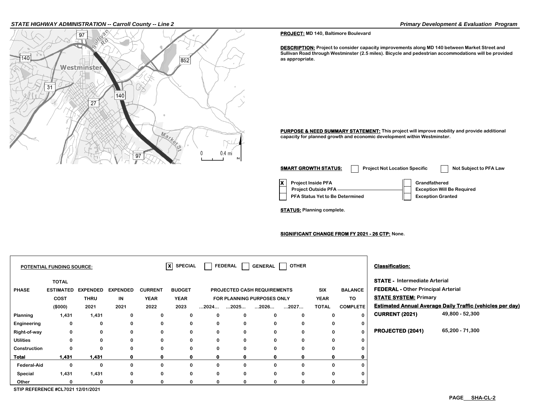### *STATE HIGHWAY ADMINISTRATION -- Carroll County -- Line 2 Primary Development & Evaluation Program*



**PROJECT: MD 140, Baltimore Boulevard**

**DESCRIPTION: Project to consider capacity improvements along MD 140 between Market Street and Sullivan Road through Westminster (2.5 miles). Bicycle and pedestrian accommodations will be provided as appropriate.**

**PURPOSE & NEED SUMMARY STATEMENT:** This project will improve mobility and provide additional **capacity for planned growth and economic development within Westminster.**

| <b>SMART GROWTH STATUS:</b>                                                                       | <b>Project Not Location Specific</b> |                                                                                | <b>Not Subject to PFA Law</b> |
|---------------------------------------------------------------------------------------------------|--------------------------------------|--------------------------------------------------------------------------------|-------------------------------|
| <b>Project Inside PFA</b><br><b>Project Outside PFA</b><br><b>PFA Status Yet to Be Determined</b> |                                      | Grandfathered<br><b>Exception Will Be Required</b><br><b>Exception Granted</b> |                               |

**STATUS: Planning complete.**

**SIGNIFICANT CHANGE FROM FY 2021 - 26 CTP: None.**

| POTENTIAL FUNDING SOURCE: |                                            |                 |                 |                | $\overline{\mathsf{x}}$ SPECIAL |                      | FEDERAL              | <b>GENERAL</b>                     | <b>OTHER</b> |              |                 | <b>Classification:</b>                    |                                                                  |
|---------------------------|--------------------------------------------|-----------------|-----------------|----------------|---------------------------------|----------------------|----------------------|------------------------------------|--------------|--------------|-----------------|-------------------------------------------|------------------------------------------------------------------|
|                           | <b>TOTAL</b>                               |                 |                 |                |                                 |                      |                      |                                    |              |              |                 | <b>STATE - Intermediate Arterial</b>      |                                                                  |
| <b>PHASE</b>              | <b>ESTIMATED</b>                           | <b>EXPENDED</b> | <b>EXPENDED</b> | <b>CURRENT</b> | <b>BUDGET</b>                   |                      |                      | <b>PROJECTED CASH REQUIREMENTS</b> |              | <b>SIX</b>   | <b>BALANCE</b>  | <b>FEDERAL - Other Principal Arterial</b> |                                                                  |
|                           | <b>COST</b>                                | <b>THRU</b>     | IN              | <b>YEAR</b>    | <b>YEAR</b>                     |                      |                      | FOR PLANNING PURPOSES ONLY         |              | <b>YEAR</b>  | TO              | <b>STATE SYSTEM: Primary</b>              |                                                                  |
|                           | (\$000)                                    | 2021            | 2021            | 2022           | 2023                            | $\dots$ 2024 $\dots$ | $\dots$ 2025 $\dots$ | $\dots$ 2026 $\dots$               | 2027         | <b>TOTAL</b> | <b>COMPLETE</b> |                                           | <b>Estimated Annual Average Daily Traffic (vehicles per day)</b> |
| Planning                  | 1,431                                      | 1,431           | 0               | 0              | 0                               | 0                    | 0                    | 0                                  | 0            | 0            |                 | <b>CURRENT (2021)</b>                     | 49,800 - 52,300                                                  |
| Engineering               | 0                                          | 0               | 0               | 0              | 0                               | 0                    | 0                    | 0                                  | 0            | 0            |                 |                                           |                                                                  |
| Right-of-way              | 0                                          | 0               | 0               | 0              | 0                               | 0                    | 0                    | 0                                  | 0            | 0            |                 | PROJECTED (2041)                          | 65,200 - 71,300                                                  |
| <b>Utilities</b>          | $\mathbf 0$                                | $\mathbf 0$     | 0               | $\mathbf 0$    | $\mathbf 0$                     | 0                    | 0                    | 0                                  | 0            | 0            |                 |                                           |                                                                  |
| Construction              | 0                                          | 0               | 0               | 0              | 0                               | 0                    | 0                    | 0                                  | 0            | $\bf{0}$     |                 |                                           |                                                                  |
| Total                     | 1,431                                      | 1,431           |                 | $\mathbf{0}$   | 0                               | $\Omega$             | $\mathbf{0}$         | 0                                  |              | $\Omega$     |                 |                                           |                                                                  |
| <b>Federal-Aid</b>        | $\mathbf 0$                                | 0               | 0               | 0              | 0                               | 0                    | 0                    | 0                                  | 0            | 0            |                 |                                           |                                                                  |
| Special                   | 1,431                                      | 1,431           | 0               | 0              | 0                               | 0                    | 0                    | 0                                  | 0            | 0            |                 |                                           |                                                                  |
| Other                     | $\Omega$                                   | O               | n.              | 0              | $\Omega$                        | $\Omega$             | 0                    |                                    | n.           | $\Omega$     |                 |                                           |                                                                  |
|                           | <b>CTID DEFEDENCE 401 7004 40104 10004</b> |                 |                 |                |                                 |                      |                      |                                    |              |              |                 |                                           |                                                                  |

**STIP REFERENCE #CL7021 12/01/2021**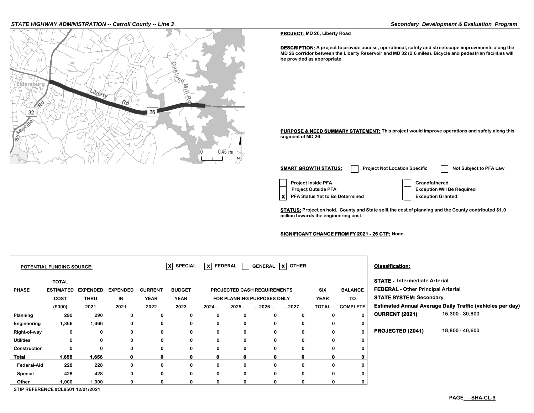### *STATE HIGHWAY ADMINISTRATION -- Carroll County -- Line 3 Secondary Development & Evaluation Program*



**PROJECT: MD 26, Liberty Road**

**DESCRIPTION:** A project to provide access, operational, safety and streetscape improvements along the **MD 26 corridor between the Liberty Reservoir and MD 32 (2.6 miles). Bicycle and pedestrian facilities will be provided as appropriate.**

**PURPOSE & NEED SUMMARY STATEMENT: This project would improve operations and safety along this segment of MD 26.**

**Project Inside PFA Grandfathered X** PFA Status Yet to Be Determined **Exception Granted Project Outside PFA Exception Will Be Required SMART GROWTH STATUS:** Project Not Location Specific Not Subject to PFA Law

**STATUS: Project on hold. County and State split the cost of planning and the County contributed \$1.0 million towards the engineering cost.**

**SIGNIFICANT CHANGE FROM FY 2021 - 26 CTP: None.**

|                                   | <b>POTENTIAL FUNDING SOURCE:</b> |                                |                       |                               | $\overline{\mathbf{x}}$<br><b>SPECIAL</b> | X FEDERAL            |          |                                                           | GENERAL   X   OTHER |                    |                      | <b>Classification:</b>                                                            |                                                                  |
|-----------------------------------|----------------------------------|--------------------------------|-----------------------|-------------------------------|-------------------------------------------|----------------------|----------|-----------------------------------------------------------|---------------------|--------------------|----------------------|-----------------------------------------------------------------------------------|------------------------------------------------------------------|
|                                   | <b>TOTAL</b>                     |                                |                       |                               |                                           |                      |          |                                                           |                     |                    |                      | <b>STATE - Intermediate Arterial</b><br><b>FEDERAL - Other Principal Arterial</b> |                                                                  |
| <b>PHASE</b>                      | <b>ESTIMATED</b><br><b>COST</b>  | <b>EXPENDED</b><br><b>THRU</b> | <b>EXPENDED</b><br>IN | <b>CURRENT</b><br><b>YEAR</b> | <b>BUDGET</b><br><b>YEAR</b>              |                      |          | PROJECTED CASH REQUIREMENTS<br>FOR PLANNING PURPOSES ONLY |                     | SIX<br><b>YEAR</b> | <b>BALANCE</b><br>TO | <b>STATE SYSTEM: Secondary</b>                                                    |                                                                  |
|                                   | (\$000)                          | 2021                           | 2021                  | 2022                          | 2023                                      | $\dots$ 2024 $\dots$ | 2025     | 2026                                                      | 2027                | <b>TOTAL</b>       | <b>COMPLETE</b>      |                                                                                   | <b>Estimated Annual Average Daily Traffic (vehicles per day)</b> |
| Planning                          | 290                              | 290                            | 0                     | 0                             | $\bf{0}$                                  | 0                    | 0        | 0                                                         | 0                   | 0                  | $\bf{0}$             | <b>CURRENT (2021)</b>                                                             | 15,300 - 30,800                                                  |
| Engineering                       | 1,366                            | 1,366                          | 0                     | 0                             | 0                                         | $\mathbf 0$          | 0        | 0                                                         | 0                   | 0                  | $\mathbf{0}$         |                                                                                   |                                                                  |
| Right-of-way                      | 0                                | 0                              | 0                     | 0                             | 0                                         | 0                    | 0        | 0                                                         | 0                   | 0                  | $\Omega$             | <b>PROJECTED (2041)</b>                                                           | 18,800 - 40,600                                                  |
| <b>Utilities</b>                  | $\mathbf 0$                      | $\Omega$                       | 0                     | 0                             | $\bf{0}$                                  | $\mathbf 0$          | $\bf{0}$ | 0                                                         | 0                   | 0                  | 0                    |                                                                                   |                                                                  |
| Construction                      | 0                                | $\Omega$                       | 0                     | 0                             | 0                                         | 0                    | 0        | 0                                                         | 0                   | 0                  | 0                    |                                                                                   |                                                                  |
| Total                             | 1,656                            | 1,656                          | 0                     | 0                             | o                                         |                      | 0        |                                                           | 0                   | 0                  | 0                    |                                                                                   |                                                                  |
| <b>Federal-Aid</b>                | 228                              | 228                            | 0                     | 0                             | 0                                         | 0                    | 0        | 0                                                         | $\Omega$            | 0                  | 0                    |                                                                                   |                                                                  |
| Special                           | 428                              | 428                            | 0                     | 0                             | 0                                         | 0                    | 0        | 0                                                         | 0                   | 0                  | 0                    |                                                                                   |                                                                  |
| Other                             | 1,000                            | 1,000                          | 0                     | ŋ                             | 0                                         | O                    | 0        | 0                                                         | 0                   | 0                  | 0                    |                                                                                   |                                                                  |
| STID DEEEDENCE #CL8501 12/01/2021 |                                  |                                |                       |                               |                                           |                      |          |                                                           |                     |                    |                      |                                                                                   |                                                                  |

**STIP REFERENCE #CL8501 12/01/2021**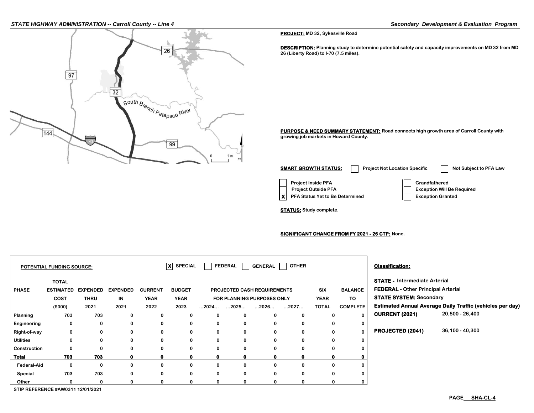#### *STATE HIGHWAY ADMINISTRATION -- Carroll County -- Line 4 Secondary Development & Evaluation Program*



**PROJECT: MD 32, Sykesville Road**

**DESCRIPTION: Planning study to determine potential safety and capacity improvements on MD 32 from MD 26 (Liberty Road) to I-70 (7.5 miles).**

**PURPOSE & NEED SUMMARY STATEMENT: Road connects high growth area of Carroll County with growing job markets in Howard County.**

**Project Inside PFA Grandfathered X** PFA Status Yet to Be Determined **Exception Granted Project Outside PFA Exception Will Be Required SMART GROWTH STATUS:** Project Not Location Specific Not Subject to PFA Law

**STATUS: Study complete.**

**SIGNIFICANT CHANGE FROM FY 2021 - 26 CTP: None.**

|                    | <b>POTENTIAL FUNDING SOURCE:</b> |                 |                 |                | $ X $ SPECIAL |                      | <b>FEDERAL</b>       | <b>GENERAL</b>                     | <b>OTHER</b> |              |                 | <b>Classification:</b>                    |                                                                  |
|--------------------|----------------------------------|-----------------|-----------------|----------------|---------------|----------------------|----------------------|------------------------------------|--------------|--------------|-----------------|-------------------------------------------|------------------------------------------------------------------|
|                    | <b>TOTAL</b>                     |                 |                 |                |               |                      |                      |                                    |              |              |                 | <b>STATE - Intermediate Arterial</b>      |                                                                  |
| <b>PHASE</b>       | <b>ESTIMATED</b>                 | <b>EXPENDED</b> | <b>EXPENDED</b> | <b>CURRENT</b> | <b>BUDGET</b> |                      |                      | <b>PROJECTED CASH REQUIREMENTS</b> |              | SIX          | <b>BALANCE</b>  | <b>FEDERAL - Other Principal Arterial</b> |                                                                  |
|                    | COST                             | <b>THRU</b>     | IN              | <b>YEAR</b>    | <b>YEAR</b>   |                      |                      | FOR PLANNING PURPOSES ONLY         |              | <b>YEAR</b>  | TO.             | <b>STATE SYSTEM: Secondary</b>            |                                                                  |
|                    | (\$000)                          | 2021            | 2021            | 2022           | 2023          | $\dots$ 2024 $\dots$ | $\dots$ 2025 $\dots$ | $\dots$ 2026                       | 2027         | <b>TOTAL</b> | <b>COMPLETE</b> |                                           | <b>Estimated Annual Average Daily Traffic (vehicles per day)</b> |
| Planning           | 703                              | 703             | 0               | 0              | 0             | 0                    | 0                    |                                    | $\Omega$     | 0            | $\bf{0}$        | <b>CURRENT (2021)</b>                     | 20,500 - 26,400                                                  |
| Engineering        | 0                                | 0               | 0               | 0              | $\bf{0}$      | 0                    | 0                    |                                    | $\Omega$     | 0            | 0               |                                           |                                                                  |
| Right-of-way       | 0                                | 0               | 0               | 0              | 0             | 0                    | 0                    | 0                                  | $\mathbf 0$  | 0            | $\bf{0}$        | <b>PROJECTED (2041)</b>                   | 36,100 - 40,300                                                  |
| <b>Utilities</b>   | 0                                | 0               | 0               | 0              | 0             | 0                    | 0                    | $\Omega$                           | $\Omega$     | 0            | 0               |                                           |                                                                  |
| Construction       |                                  | 0               | 0               | 0              | 0             | 0                    | 0                    |                                    | 0            | $\bf{0}$     |                 |                                           |                                                                  |
| Total              | 703                              | 703             | 0               | $\mathbf{o}$   | $\mathbf o$   | $\mathbf{o}$         | $\mathbf 0$          |                                    | Ω            | $\mathbf{0}$ |                 |                                           |                                                                  |
| <b>Federal-Aid</b> | 0                                | 0               | 0               | 0              | 0             | 0                    | 0                    |                                    | $\Omega$     | $\Omega$     | 0               |                                           |                                                                  |
| Special            | 703                              | 703             | 0               | 0              | 0             | 0                    | $\mathbf 0$          | $\Omega$                           | $\Omega$     | 0            |                 |                                           |                                                                  |
| Other              |                                  | 0               | 0               | 0              | 0             | 0                    | 0                    |                                    |              | $\Omega$     |                 |                                           |                                                                  |

**STIP REFERENCE #AW0311 12/01/2021**